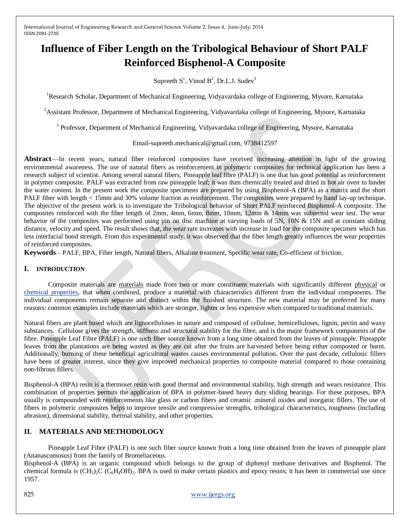# **Influence of Fiber Length on the Tribological Behaviour of Short PALF Reinforced Bisphenol-A Composite**

Supreeth  $S^1$ , Vinod  $B^2$ , Dr.L.J. Sudev<sup>3</sup>

<sup>1</sup>Research Scholar, Department of Mechanical Engineering, Vidyavardaka college of Engineering, Mysore, Karnataka

<sup>2</sup>Assistant Professor, Department of Mechanical Engineering, Vidyavardaka college of Engineering, Mysore, Karnataka

<sup>3</sup> Professor, Department of Mechanical Engineering, Vidyavardaka college of Engineering, Mysore, Karnataka

Email-supreeth.mechanical@gmail.com, 9738412597

**Abstract**—In recent years, natural fiber reinforced composites have received increasing attention in light of the growing environmental awareness. The use of natural fibers as reinforcement in polymeric composites for technical application has been a research subject of scientist. Among several natural fibers, Pineapple leaf fibre (PALF) is one that has good potential as reinforcement in polymer composite. PALF was extracted from raw pineapple leaf; it was then chemically treated and dried in hot air oven to hinder the water content. In the present work the composite specimens are prepared by using Bisphenol-A (BPA) as a matrix and the short PALF fiber with length < 15mm and 30% volume fraction as reinforcement. The composites were prepared by hand lay-up technique. The objective of the present work is to investigate the Tribological behavior of Short PALF reinforced Bisphenol-A composite. The composites reinforced with the fiber length of 2mm, 4mm, 6mm, 8mm, 10mm, 12mm & 14mm was subjected wear test. The wear behavior of the composites was performed using pin on disc machine at varying loads of 5N, 10N & 15N and at constant sliding distance, velocity and speed. The result shows that, the wear rate increases with increase in load for the composite specimen which has less interfacial bond strength. From this experimental study, it was observed that the fiber length greatly influences the wear properties of reinforced composites.

**Keywords**— PALF, BPA, Fiber length, Natural fibers, Alkaline treatment, Specific wear rate, Co-efficient of friction.

## **I. INTRODUCTION**

Composite materials are [materials](http://en.wikipedia.org/wiki/Material) made from two or more constituent materials with significantly different [physical](http://en.wikipedia.org/wiki/Physical_property) or [chemical properties,](http://en.wikipedia.org/wiki/Chemical_property) that when combined, produce a material with characteristics different from the individual components. The individual components remain separate and distinct within the finished structure. The new material may be preferred for many reasons: common examples include materials which are stronger, lighter or less expensive when compared to traditional materials.

Natural fibers are plant based which are lignocelluloses in nature and composed of cellulose, hemicelluloses, lignin, pectin and waxy substances. Cellulose gives the strength, stiffness and structural stability for the fibre, and is the major framework components of the fibre. Pineapple Leaf Fibre (PALF) is one such fiber source known from a long time obtained from the leaves of pineapple. Pineapple leaves from the plantations are being wasted as they are cut after the fruits are harvested before being either composted or burnt. Additionally, burning of these beneficial agricultural wastes causes environmental pollution. Over the past decade, cellulosic fillers have been of greater interest, since they give improved mechanical properties to composite material compared to those containing non-fibrous fillers.

Bisphenol-A (BPA) resin is a thermoset resin with good thermal and environmental stability, high strength and wears resistance. This combination of properties permits the application of BPA in polymer-based heavy duty sliding bearings. For these purposes, BPA usually is compounded with reinforcements like glass or carbon fibers and ceramic .mineral oxides and inorganic fillers. The use of fibers in polymeric composites helps to improve tensile and compressive strengths, tribological characteristics, toughness (including abrasion), dimensional stability, thermal stability, and other properties.

## **II. MATERIALS AND METHODOLOGY**

Pineapple Leaf Fibre (PALF) is one such fiber source known from a long time obtained from the leaves of pineapple plant (Ananascomosus) from the family of Bromeliaceous.

Bisphenol-A (BPA) is an organic compound which belongs to the group of diphenyl methane derivatives and Bisphenol. The chemical formula is  $(CH_3)_2C$   $(C_6H_4OH)_2$ . BPA is used to make certain plastics and epoxy resins; it has been in commercial use since 1957.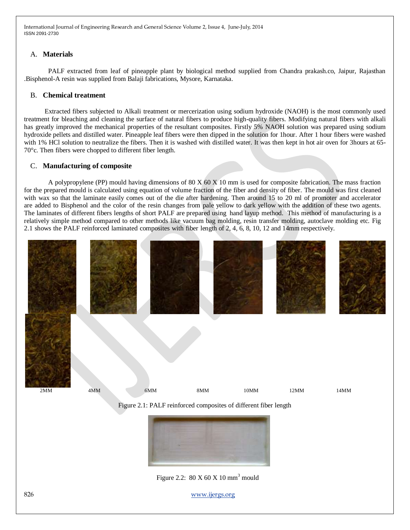### A. **Materials**

PALF extracted from leaf of pineapple plant by biological method supplied from Chandra prakash.co, Jaipur, Rajasthan .Bisphenol-A resin was supplied from Balaji fabrications, Mysore, Karnataka.

#### B. **Chemical treatment**

Extracted fibers subjected to Alkali treatment or mercerization using sodium hydroxide (NAOH) is the most commonly used treatment for bleaching and cleaning the surface of natural fibers to produce high-quality fibers. Modifying natural fibers with alkali has greatly improved the mechanical properties of the resultant composites. Firstly 5% NAOH solution was prepared using sodium hydroxide pellets and distilled water. Pineapple leaf fibers were then dipped in the solution for 1hour. After 1 hour fibers were washed with 1% HCl solution to neutralize the fibers. Then it is washed with distilled water. It was then kept in hot air oven for 3hours at 65- 70°c. Then fibers were chopped to different fiber length.

#### C. **Manufacturing of composite**

A polypropylene (PP) mould having dimensions of 80 X 60 X 10 mm is used for composite fabrication. The mass fraction for the prepared mould is calculated using equation of volume fraction of the fiber and density of fiber. The mould was first cleaned with wax so that the laminate easily comes out of the die after hardening. Then around 15 to 20 ml of promoter and accelerator are added to Bisphenol and the color of the resin changes from pale yellow to dark yellow with the addition of these two agents. The laminates of different fibers lengths of short PALF are prepared using hand layup method. This method of manufacturing is a relatively simple method compared to other methods like vacuum bag molding, resin transfer molding, autoclave molding etc. Fig 2.1 shows the PALF reinforced laminated composites with fiber length of 2, 4, 6, 8, 10, 12 and 14mm respectively.



Figure 2.2:  $80 \text{ X } 60 \text{ X } 10 \text{ mm}^3$  mould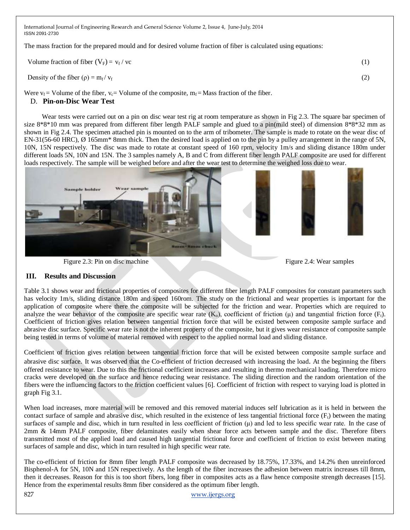The mass fraction for the prepared mould and for desired volume fraction of fiber is calculated using equations:

| Volume fraction of fiber $(V_F) = v_f / vc$              |  |
|----------------------------------------------------------|--|
| Density of the fiber ( $\rho$ ) = m <sub>f</sub> / $v_f$ |  |

Were  $v_f$  = Volume of the fiber,  $v_c$  = Volume of the composite,  $m_f$  = Mass fraction of the fiber. D. **Pin-on-Disc Wear Test**

Wear tests were carried out on a pin on disc wear test rig at room temperature as shown in Fig 2.3. The square bar specimen of size 8\*8\*10 mm was prepared from different fiber length PALF sample and glued to a pin(mild steel) of dimension 8\*8\*32 mm as shown in Fig 2.4. The specimen attached pin is mounted on to the arm of tribometer. The sample is made to rotate on the wear disc of EN-31(56-60 HRC), Ø 165mm\* 8mm thick. Then the desired load is applied on to the pin by a pulley arrangement in the range of 5N, 10N, 15N respectively. The disc was made to rotate at constant speed of 160 rpm, velocity 1m/s and sliding distance 180m under different loads 5N, 10N and 15N. The 3 samples namely A, B and C from different fiber length PALF composite are used for different loads respectively. The sample will be weighed before and after the wear test to determine the weighed loss due to wear.



Figure 2.3: Pin on disc machineFigure 2.4: Wear samples

## **III. Results and Discussion**

Table 3.1 shows wear and frictional properties of composites for different fiber length PALF composites for constant parameters such has velocity 1m/s, sliding distance 180m and speed 160rom. The study on the frictional and wear properties is important for the application of composite where there the composite will be subjected for the friction and wear. Properties which are required to analyze the wear behavior of the composite are specific wear rate  $(K_0)$ , coefficient of friction  $(\mu)$  and tangential friction force  $(F_t)$ . Coefficient of friction gives relation between tangential friction force that will be existed between composite sample surface and abrasive disc surface. Specific wear rate is not the inherent property of the composite, but it gives wear resistance of composite sample being tested in terms of volume of material removed with respect to the applied normal load and sliding distance.

Coefficient of friction gives relation between tangential friction force that will be existed between composite sample surface and abrasive disc surface. It was observed that the Co-efficient of friction decreased with increasing the load. At the beginning the fibers offered resistance to wear. Due to this the frictional coefficient increases and resulting in thermo mechanical loading. Therefore micro cracks were developed on the surface and hence reducing wear resistance. The sliding direction and the random orientation of the fibers were the influencing factors to the friction coefficient values [6]. Coefficient of friction with respect to varying load is plotted in graph Fig 3.1.

When load increases, more material will be removed and this removed material induces self lubrication as it is held in between the contact surface of sample and abrasive disc, which resulted in the existence of less tangential frictional force  $(F<sub>t</sub>)$  between the mating surfaces of sample and disc, which in turn resulted in less coefficient of friction  $(\mu)$  and led to less specific wear rate. In the case of 2mm & 14mm PALF composite, fiber delaminates easily when shear force acts between sample and the disc. Therefore fibers transmitted most of the applied load and caused high tangential frictional force and coefficient of friction to exist between mating surfaces of sample and disc, which in turn resulted in high specific wear rate.

The co-efficient of friction for 8mm fiber length PALF composite was decreased by 18.75%, 17.33%, and 14.2% then unreinforced Bisphenol-A for 5N, 10N and 15N respectively. As the length of the fiber increases the adhesion between matrix increases till 8mm, then it decreases. Reason for this is too short fibers, long fiber in composites acts as a flaw hence composite strength decreases [15]. Hence from the experimental results 8mm fiber considered as the optimum fiber length.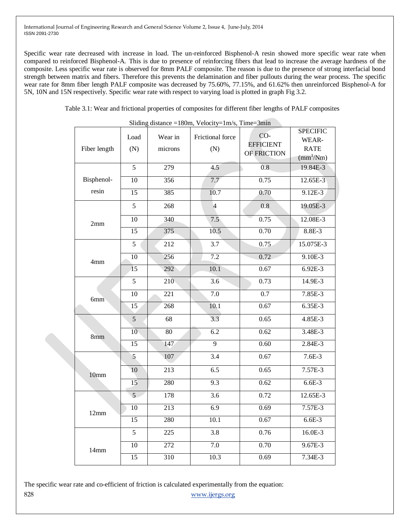Specific wear rate decreased with increase in load. The un-reinforced Bisphenol-A resin showed more specific wear rate when compared to reinforced Bisphenol-A. This is due to presence of reinforcing fibers that lead to increase the average hardness of the composite. Less specific wear rate is observed for 8mm PALF composite. The reason is due to the presence of strong interfacial bond strength between matrix and fibers. Therefore this prevents the delamination and fiber pullouts during the wear process. The specific wear rate for 8mm fiber length PALF composite was decreased by 75.60%, 77.15%, and 61.62% then unreinforced Bisphenol-A for 5N, 10N and 15N respectively. Specific wear rate with respect to varying load is plotted in graph Fig 3.2.

Table 3.1: Wear and frictional properties of composites for different fiber lengths of PALF composites

| Fiber length | Load<br>(N)     | Wear in<br>microns | Frictional force<br>(N) | CO-<br><b>EFFICIENT</b><br>OF FRICTION | <b>SPECIFIC</b><br>WEAR-<br><b>RATE</b><br>$\text{(mm}^3/\text{Nm})$ |
|--------------|-----------------|--------------------|-------------------------|----------------------------------------|----------------------------------------------------------------------|
|              | 5               | 279                | 4.5                     | 0.8                                    | 19.84E-3                                                             |
| Bisphenol-   | $\overline{10}$ | 356                | 7.7                     | 0.75                                   | 12.65E-3                                                             |
| resin        | 15              | 385                | 10.7                    | 0.70                                   | $9.12E-3$                                                            |
| 2mm          | 5               | 268                | $\overline{4}$          | 0.8                                    | 19.05E-3                                                             |
|              | $\overline{10}$ | 340                | 7.5                     | 0.75                                   | 12.08E-3                                                             |
|              | $\overline{15}$ | 375                | 10.5                    | 0.70                                   | 8.8E-3                                                               |
|              | 5               | 212                | 3.7                     | 0.75                                   | 15.075E-3                                                            |
| 4mm          | 10              | 256                | $\overline{7.2}$        | 0.72                                   | $9.10E - 3$                                                          |
|              | 15              | 292                | 10.1                    | 0.67                                   | 6.92E-3                                                              |
| 6mm          | 5               | 210                | 3.6                     | 0.73                                   | 14.9E-3                                                              |
|              | $\overline{10}$ | $\overline{221}$   | 7.0                     | 0.7                                    | 7.85E-3                                                              |
|              | 15              | 268                | 10.1                    | 0.67                                   | 6.35E-3                                                              |
| 8mm          | $\overline{5}$  | 68                 | 3.3                     | 0.65                                   | 4.85E-3                                                              |
|              | $\overline{10}$ | $\overline{80}$    | $\overline{6.2}$        | 0.62                                   | 3.48E-3                                                              |
|              | $\overline{15}$ | 147                | $\overline{9}$          | 0.60                                   | 2.84E-3                                                              |
| 10mm         | 5               | 107                | 3.4                     | 0.67                                   | $7.6E-3$                                                             |
|              | 10              | 213                | 6.5                     | 0.65                                   | 7.57E-3                                                              |
|              | 15              | 280                | 9.3                     | 0.62                                   | $6.6E-3$                                                             |
| 12mm         | $\overline{5}$  | 178                | 3.6                     | 0.72                                   | 12.65E-3                                                             |
|              | $\overline{10}$ | $\overline{213}$   | 6.9                     | 0.69                                   | $7.57E-3$                                                            |
|              | 15              | 280                | $\overline{10.1}$       | 0.67                                   | $6.6E-3$                                                             |
| 14mm         | $\overline{5}$  | 225                | 3.8                     | 0.76                                   | 16.0E-3                                                              |
|              | 10              | 272                | 7.0                     | 0.70                                   | $9.67E - 3$                                                          |
|              | $\overline{15}$ | 310                | 10.3                    | 0.69                                   | $7.34E - 3$                                                          |

Sliding distance  $=180$ m, Velocity $=1$ m/s, Time $=3$ min

828 [www.ijergs.org](http://www.ijergs.org/) The specific wear rate and co-efficient of friction is calculated experimentally from the equation: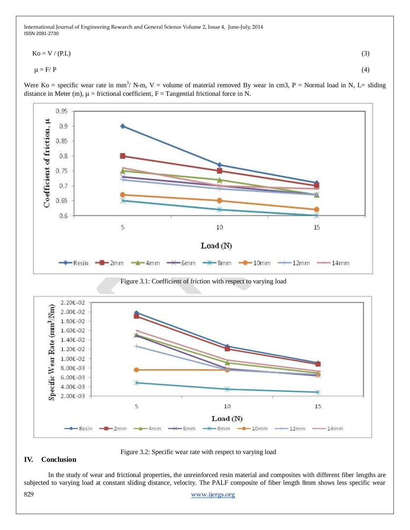$$
Ko = V / (PL)
$$
\n<sup>(3)</sup>\n
$$
\mu = F / P
$$

Were Ko = specific wear rate in mm<sup>3</sup> / N-m, V = volume of material removed By wear in cm3, P = Normal load in N, L= sliding



Figure 3.2: Specific wear rate with respect to varying load

## **IV. Conclusion**

In the study of wear and frictional properties, the unreinforced resin material and composites with different fiber lengths are subjected to varying load at constant sliding distance, velocity. The PALF composite of fiber length 8mm shows less specific wear